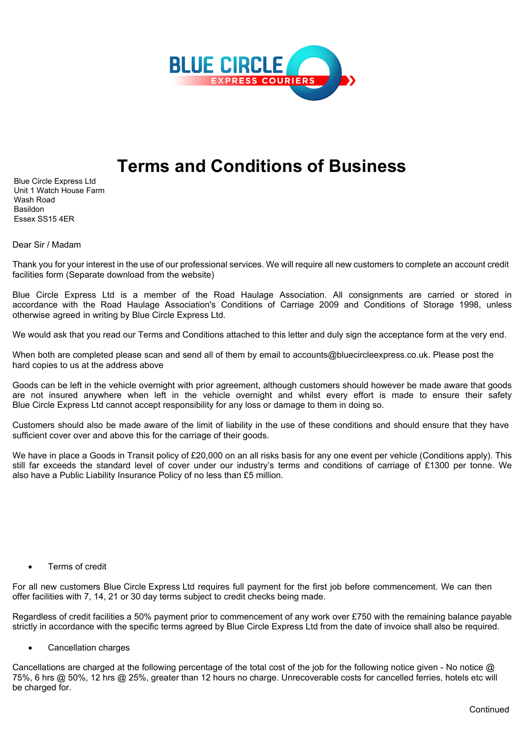

# **Terms and Conditions of Business**

Blue Circle Express Ltd Unit 1 Watch House Farm Wash Road Basildon Essex SS15 4ER

Dear Sir / Madam

Thank you for your interest in the use of our professional services. We will require all new customers to complete an account credit facilities form (Separate download from the website)

Blue Circle Express Ltd is a member of the Road Haulage Association. All consignments are carried or stored in accordance with the Road Haulage Association's Conditions of Carriage 2009 and Conditions of Storage 1998, unless otherwise agreed in writing by Blue Circle Express Ltd.

We would ask that you read our Terms and Conditions attached to this letter and duly sign the acceptance form at the very end.

When both are completed please scan and send all of them by email to accounts@bluecircleexpress.co.uk. Please post the hard copies to us at the address above

Goods can be left in the vehicle overnight with prior agreement, although customers should however be made aware that goods are not insured anywhere when left in the vehicle overnight and whilst every effort is made to ensure their safety Blue Circle Express Ltd cannot accept responsibility for any loss or damage to them in doing so.

Customers should also be made aware of the limit of liability in the use of these conditions and should ensure that they have sufficient cover over and above this for the carriage of their goods.

We have in place a Goods in Transit policy of £20,000 on an all risks basis for any one event per vehicle (Conditions apply). This still far exceeds the standard level of cover under our industry's terms and conditions of carriage of £1300 per tonne. We also have a Public Liability Insurance Policy of no less than £5 million.

Terms of credit

For all new customers Blue Circle Express Ltd requires full payment for the first job before commencement. We can then offer facilities with 7, 14, 21 or 30 day terms subject to credit checks being made.

Regardless of credit facilities a 50% payment prior to commencement of any work over £750 with the remaining balance payable strictly in accordance with the specific terms agreed by Blue Circle Express Ltd from the date of invoice shall also be required.

Cancellation charges

Cancellations are charged at the following percentage of the total cost of the job for the following notice given - No notice @ 75%, 6 hrs @ 50%, 12 hrs @ 25%, greater than 12 hours no charge. Unrecoverable costs for cancelled ferries, hotels etc will be charged for.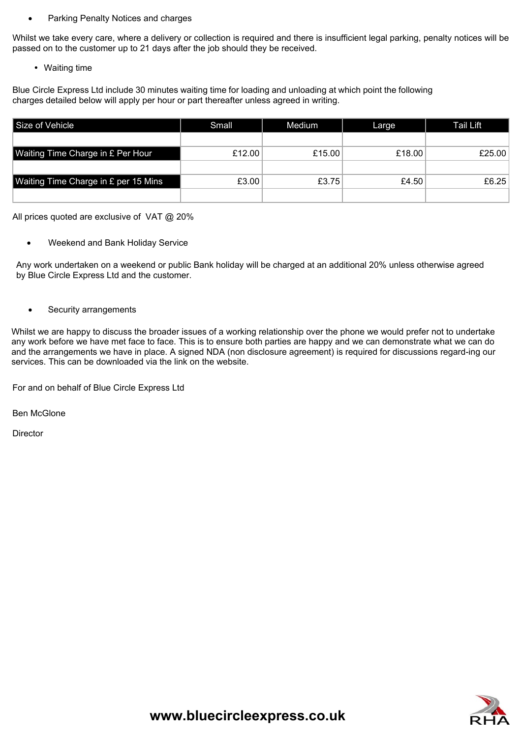Parking Penalty Notices and charges

Whilst we take every care, where a delivery or collection is required and there is insufficient legal parking, penalty notices will be passed on to the customer up to 21 days after the job should they be received.

• Waiting time

Blue Circle Express Ltd include 30 minutes waiting time for loading and unloading at which point the following charges detailed below will apply per hour or part thereafter unless agreed in writing.

| Size of Vehicle                      | Small  | Medium | Large  | <b>Tail Lift</b> |
|--------------------------------------|--------|--------|--------|------------------|
|                                      |        |        |        |                  |
| Waiting Time Charge in £ Per Hour    | £12.00 | £15.00 | £18.00 | £25.00           |
|                                      |        |        |        |                  |
| Waiting Time Charge in £ per 15 Mins | £3.00  | £3.75  | £4.50  | £6.25            |
|                                      |        |        |        |                  |

All prices quoted are exclusive of VAT @ 20%

• Weekend and Bank Holiday Service

Any work undertaken on a weekend or public Bank holiday will be charged at an additional 20% unless otherwise agreed by Blue Circle Express Ltd and the customer.

• Security arrangements

Whilst we are happy to discuss the broader issues of a working relationship over the phone we would prefer not to undertake any work before we have met face to face. This is to ensure both parties are happy and we can demonstrate what we can do and the arrangements we have in place. A signed NDA (non disclosure agreement) is required for discussions regard-ing our services. This can be downloaded via the link on the website.

For and on behalf of Blue Circle Express Ltd

Ben McGlone

Director

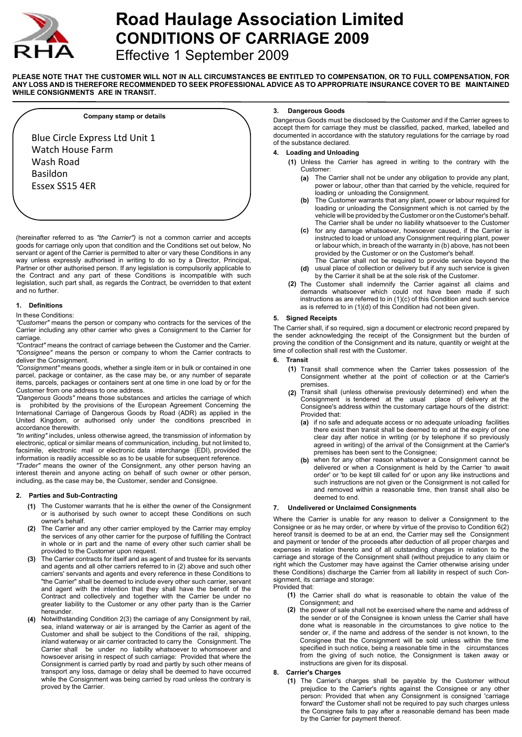

# **Road Haulage Association Limited CONDITIONS OF CARRIAGE 2009**

Effective 1 September 2009

**PLEASE NOTE THAT THE CUSTOMER WILL NOT IN ALL CIRCUMSTANCES BE ENTITLED TO COMPENSATION, OR TO FULL COMPENSATION, FOR ANY LOSS AND IS THEREFORE RECOMMENDED TO SEEK PROFESSIONAL ADVICE AS TO APPROPRIATE INSURANCE COVER TO BE MAINTAINED WHILE CONSIGNMENTS ARE IN TRANSIT.**

**Company stamp or details**

Blue Circle Express Ltd Unit 1 Watch House Farm Wash Road Basildon Essex SS15 4ER

(hereinafter referred to as *"the Carrier")* is not a common carrier and accepts goods for carriage only upon that condition and the Conditions set out below, No servant or agent of the Carrier is permitted to alter or vary these Conditions in any way unless expressly authorised in writing to do so by a Director, Principal, Partner or other authorised person. If any legislation is compulsorily applicable to the Contract and any part of these Conditions is incompatible with such legislation, such part shall, as regards the Contract, be overridden to that extent and no further.

# **1. Definitions**

#### In these Conditions:

*"Customer"* means the person or company who contracts for the services of the Carrier including any other carrier who gives a Consignment to the Carrier for carriage.

*"Contract"* means the contract of carriage between the Customer and the Carrier. *"Consignee"* means the person or company to whom the Carrier contracts to deliver the Consignment.

*"Consignment"* means goods, whether a single item or in bulk or contained in one parcel, package or container, as the case may be, or any number of separate items, parcels, packages or containers sent at one time in one load by or for the Customer from one address to one address.

*"Dangerous Goods"* means those substances and articles the carriage of which prohibited by the provisions of the European Agreement Concerning the International Carriage of Dangerous Goods by Road (ADR) as applied in the United Kingdom, or authorised only under the conditions prescribed in accordance therewith.

*"In writing"* includes, unless otherwise agreed, the transmission of information by electronic, optical or similar means of communication, including, but not limited to, facsimile, electronic mail or electronic data interchange (EDI), provided the information is readily accessible so as to be usable for subsequent reference.

*"Trader"* means the owner of the Consignment, any other person having an interest therein and anyone acting on behalf of such owner or other person, including, as the case may be, the Customer, sender and Consignee.

#### **2. Parties and Sub-Contracting**

- The Customer warrants that he is either the owner of the Consignment **(1)** or is authorised by such owner to accept these Conditions on such owner's behalf.
- The Carrier and any other carrier employed by the Carrier may employ the services of any other carrier for the purpose of fulfilling the Contract in whole or in part and the name of every other such carrier shall be provided to the Customer upon request. **(2)**
- The Carrier contracts for itself and as agent of and trustee for its servants and agents and all other carriers referred to in (2) above and such other carriers' servants and agents and every reference in these Conditions to "the Carrier" shall be deemed to include every other such carrier, servant and agent with the intention that they shall have the benefit of the Contract and collectively and together with the Carrier be under no greater liability to the Customer or any other party than is the Carrier hereunder. **(3)**
- Notwithstanding Condition 2(3) the carriage of any Consignment by rail, sea, inland waterway or air is arranged by the Carrier as agent of the Customer and shall be subject to the Conditions of the rail, shipping, inland waterway or air carrier contracted to carry the Consignment. The Carrier shall be under no liability whatsoever to whomsoever and howsoever arising in respect of such carriage: Provided that where the Consignment is carried partly by road and partly by such other means of transport any loss, damage or delay shall be deemed to have occurred while the Consignment was being carried by road unless the contrary is proved by the Carrier. **(4)**

#### **3. Dangerous Goods**

Dangerous Goods must be disclosed by the Customer and if the Carrier agrees to accept them for carriage they must be classified, packed, marked, labelled and documented in accordance with the statutory regulations for the carriage by road of the substance declared.

# **4. Loading and Unloading**

- Unless the Carrier has agreed in writing to the contrary with the **(1)** Customer:
	- The Carrier shall not be under any obligation to provide any plant, **(a)** power or labour, other than that carried by the vehicle, required for loading or unloading the Consignment.
	- The Customer warrants that any plant, power or labour required for **(b)** loading or unloading the Consignment which is not carried by the vehicle will be provided by the Customer or on the Customer's behalf. The Carrier shall be under no liability whatsoever to the Customer
	- (c) for any damage whatsoever, howsoever caused, if the Carrier is instructed to load or unload any Consignment requiring plant, power or labour which, in breach of the warranty in (b) above, has not been provided by the Customer or on the Customer's behalf.
	- The Carrier shall not be required to provide service beyond the usual place of collection or delivery but if any such service is given **(d)** by the Carrier it shall be at the sole risk of the Customer.
- The Customer shall indemnify the Carrier against all claims and **(2)** demands whatsoever which could not have been made if such instructions as are referred to in (1)(c) of this Condition and such service as is referred to in (1)(d) of this Condition had not been given.

#### **5. Signed Receipts**

The Carrier shall, if so required, sign a document or electronic record prepared by the sender acknowledging the receipt of the Consignment but the burden of proving the condition of the Consignment and its nature, quantity or weight at the time of collection shall rest with the Customer.

#### **6. Transit**

- Transit shall commence when the Carrier takes possession of the **(1)** Consignment whether at the point of collection or at the Carrier's premises.
- Transit shall (unless otherwise previously determined) end when the **(2)** Consignment is tendered at the usual place of delivery at the Consignee's address within the customary cartage hours of the district: Provided that:
	- if no safe and adequate access or no adequate unloading facilities **(a)** there exist then transit shall be deemed to end at the expiry of one clear day after notice in writing (or by telephone if so previously agreed in writing) of the arrival of the Consignment at the Carrier's premises has been sent to the Consignee;
	- (b) when for any other reason whatsoever a Consignment cannot be delivered or when a Consignment is held by the Carrier 'to await order' or 'to be kept till called for' or upon any like instructions and such instructions are not given or the Consignment is not called for and removed within a reasonable time, then transit shall also be deemed to end.

#### **7. Undelivered or Unclaimed Consignments**

Where the Carrier is unable for any reason to deliver a Consignment to the Consignee or as he may order, or where by virtue of the proviso to Condition 6(2) hereof transit is deemed to be at an end, the Carrier may sell the Consignment and payment or tender of the proceeds after deduction of all proper charges and expenses in relation thereto and of all outstanding charges in relation to the carriage and storage of the Consignment shall (without prejudice to any claim or right which the Customer may have against the Carrier otherwise arising under these Conditions) discharge the Carrier from all liability in respect of such Consignment, its carriage and storage:

Provided that:

- **(1)** the Carrier shall do what is reasonable to obtain the value of the Consignment; and
- **(2)** the power of sale shall not be exercised where the name and address of the sender or of the Consignee is known unless the Carrier shall have done what is reasonable in the circumstances to give notice to the sender or, if the name and address of the sender is not known, to the Consignee that the Consignment will be sold unless within the time specified in such notice, being a reasonable time in the circumstances from the giving of such notice, the Consignment is taken away or instructions are given for its disposal.

#### **8. Carrier's Charges**

The Carrier's charges shall be payable by the Customer without **(1)**prejudice to the Carrier's rights against the Consignee or any other person: Provided that when any Consignment is consigned 'carriage forward' the Customer shall not be required to pay such charges unless the Consignee fails to pay after a reasonable demand has been made by the Carrier for payment thereof.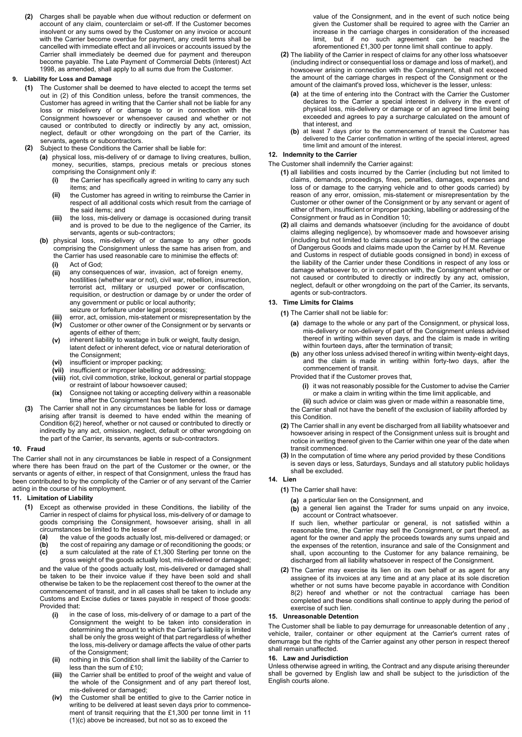Charges shall be payable when due without reduction or deferment on **(2)** account of any claim, counterclaim or set-off. If the Customer becomes insolvent or any sums owed by the Customer on any invoice or account with the Carrier become overdue for payment, any credit terms shall be cancelled with immediate effect and all invoices or accounts issued by the Carrier shall immediately be deemed due for payment and thereupon become payable. The Late Payment of Commercial Debts (Interest) Act 1998, as amended, shall apply to all sums due from the Customer.

### **9. Liability for Loss and Damage**

- The Customer shall be deemed to have elected to accept the terms set out in (2) of this Condition unless, before the transit commences, the Customer has agreed in writing that the Carrier shall not be liable for any loss or misdelivery of or damage to or in connection with the Consignment howsoever or whensoever caused and whether or not caused or contributed to directly or indirectly by any act, omission, neglect, default or other wrongdoing on the part of the Carrier, its servants, agents or subcontractors. **(1)**
- Subject to these Conditions the Carrier shall be liable for: **(2)**
	- **(a)** physical loss, mis-delivery of or damage to living creatures, bullion, money, securities, stamps, precious metals or precious stones comprising the Consignment only if:
		- the Carrier has specifically agreed in writing to carry any such items; and **(i)**
		- the Customer has agreed in writing to reimburse the Carrier in respect of all additional costs which result from the carriage of the said items; and **(ii)**
		- the loss, mis-delivery or damage is occasioned during transit and is proved to be due to the negligence of the Carrier, its servants, agents or sub-contractors; **(iii)**
	- **(b)** physical loss, mis-delivery of or damage to any other goods comprising the Consignment unless the same has arisen from, and the Carrier has used reasonable care to minimise the effects of:
		- Act of God; **(i)**
		- any consequences of war, invasion, act of foreign enemy, hostilities (whether war or not), civil war, rebellion, insurrection, terrorist act, military or usurped power or confiscation, requisition, or destruction or damage by or under the order of any government or public or local authority; seizure or forfeiture under legal process; **(ii)**
		- error, act, omission, mis-statement or misrepresentation by the Customer or other owner of the Consignment or by servants or **(iii) (iv)**
		- agents of either of them; **(v)**
		- inherent liability to wastage in bulk or weight, faulty design, latent defect or inherent defect, vice or natural deterioration of the Consignment;
		- insufficient or improper packing; **(vi)**
		- (vii) insufficient or improper labelling or addressing;
		- (viii) riot, civil commotion, strike, lockout, general or partial stoppage or restraint of labour howsoever caused;
		- Consignee not taking or accepting delivery within a reasonable time after the Consignment has been tendered. **(ix)**
- The Carrier shall not in any circumstances be liable for loss or damage **(3)** arising after transit is deemed to have ended within the meaning of Condition 6(2) hereof, whether or not caused or contributed to directly or indirectly by any act, omission, neglect, default or other wrongdoing on the part of the Carrier, its servants, agents or sub-contractors.

#### **10. Fraud**

The Carrier shall not in any circumstances be liable in respect of a Consignment where there has been fraud on the part of the Customer or the owner, or the servants or agents of either, in respect of that Consignment, unless the fraud has been contributed to by the complicity of the Carrier or of any servant of the Carrier acting in the course of his employment.

#### **11. Limitation of Liability**

- **(1)** Except as otherwise provided in these Conditions, the liability of the Carrier in respect of claims for physical loss, mis-delivery of or damage to goods comprising the Consignment, howsoever arising, shall in all circumstances be limited to the lesser of
	- the value of the goods actually lost, mis-delivered or damaged; or **(a)**
	- the cost of repairing any damage or of reconditioning the goods; or a sum calculated at the rate of £1,300 Sterling per tonne on the gross weight of the goods actually lost, mis-delivered or damaged; **(c) (b)**

and the value of the goods actually lost, mis-delivered or damaged shall be taken to be their invoice value if they have been sold and shall otherwise be taken to be the replacement cost thereof to the owner at the commencement of transit, and in all cases shall be taken to include any Customs and Excise duties or taxes payable in respect of those goods: Provided that:

- **(i)** in the case of loss, mis-delivery of or damage to a part of the Consignment the weight to be taken into consideration in determining the amount to which the Carrier's liability is limited shall be only the gross weight of that part regardless of whether the loss, mis-delivery or damage affects the value of other parts of the Consignment;
- **(ii)** nothing in this Condition shall limit the liability of the Carrier to less than the sum of £10;
- **(iii)** the Carrier shall be entitled to proof of the weight and value of the whole of the Consignment and of any part thereof lost, mis-delivered or damaged;
- **(iv)** the Customer shall be entitled to give to the Carrier notice in writing to be delivered at least seven days prior to commencement of transit requiring that the £1,300 per tonne limit in 11 (1)(c) above be increased, but not so as to exceed the

value of the Consignment, and in the event of such notice being given the Customer shall be required to agree with the Carrier an increase in the carriage charges in consideration of the increased limit, but if no such agreement can be reached aforementioned £1,300 per tonne limit shall continue to apply.

- The liability of the Carrier in respect of claims for any other loss whatsoever **(2)** (including indirect or consequential loss or damage and loss of market), and howsoever arising in connection with the Consignment, shall not exceed the amount of the carriage charges in respect of the Consignment or the amount of the claimant's proved loss, whichever is the lesser, unless:
	- at the time of entering into the Contract with the Carrier the Customer **(a)** declares to the Carrier a special interest in delivery in the event of physical loss, mis-delivery or damage or of an agreed time limit being exceeded and agrees to pay a surcharge calculated on the amount of that interest, and
	- (b) at least 7 days prior to the commencement of transit the Customer has delivered to the Carrier confirmation in writing of the special interest, agreed time limit and amount of the interest.

# **12. Indemnity to the Carrier**

- The Customer shall indemnify the Carrier against:
	- all liabilities and costs incurred by the Carrier (including but not limited to **(1)** claims, demands, proceedings, fines, penalties, damages, expenses and loss of or damage to the carrying vehicle and to other goods carried) by reason of any error, omission, mis-statement or misrepresentation by the Customer or other owner of the Consignment or by any servant or agent of either of them, insufficient or improper packing, labelling or addressing of the Consignment or fraud as in Condition 10;
	- all claims and demands whatsoever (including for the avoidance of doubt **(2)** claims alleging negligence), by whomsoever made and howsoever arising (including but not limited to claims caused by or arising out of the carriage of Dangerous Goods and claims made upon the Carrier by H.M. Revenue and Customs in respect of dutiable goods consigned in bond) in excess of the liability of the Carrier under these Conditions in respect of any loss or damage whatsoever to, or in connection with, the Consignment whether or not caused or contributed to directly or indirectly by any act, omission, neglect, default or other wrongdoing on the part of the Carrier, its servants, agents or sub-contractors.

# **13. Time Limits for Claims**

The Carrier shall not be liable for: **(1)**

- (a) damage to the whole or any part of the Consignment, or physical loss, mis-delivery or non-delivery of part of the Consignment unless advised thereof in writing within seven days, and the claim is made in writing within fourteen days, after the termination of transit;
- any other loss unless advised thereof in writing within twenty-eight days, **(b)** and the claim is made in writing within forty-two days, after the commencement of transit.

Provided that if the Customer proves that,

- **(i)** it was not reasonably possible for the Customer to advise the Carrier or make a claim in writing within the time limit applicable, and
- **(ii)** such advice or claim was given or made within a reasonable time, the Carrier shall not have the benefit of the exclusion of liability afforded by this Condition.
- The Carrier shall in any event be discharged from all liability whatsoever and **(2)** howsoever arising in respect of the Consignment unless suit is brought and notice in writing thereof given to the Carrier within one year of the date when transit commenced.
- (3) In the computation of time where any period provided by these Conditions is seven days or less, Saturdays, Sundays and all statutory public holidays shall be excluded.

# **14. Lien**

- (1) The Carrier shall have:
	- **(a)** a particular lien on the Consignment, and
	- **(b)** a general lien against the Trader for sums unpaid on any invoice, account or Contract whatsoever.

If such lien, whether particular or general, is not satisfied within a reasonable time, the Carrier may sell the Consignment, or part thereof, as agent for the owner and apply the proceeds towards any sums unpaid and the expenses of the retention, insurance and sale of the Consignment and shall, upon accounting to the Customer for any balance remaining, be discharged from all liability whatsoever in respect of the Consignment.

**(2)** The Carrier may exercise its lien on its own behalf or as agent for any assignee of its invoices at any time and at any place at its sole discretion whether or not sums have become payable in accordance with Condition 8(2) hereof and whether or not the contractual carriage has been completed and these conditions shall continue to apply during the period of exercise of such lien.

# **15. Unreasonable Detention**

The Customer shall be liable to pay demurrage for unreasonable detention of any vehicle, trailer, container or other equipment at the Carrier's current rates of demurrage but the rights of the Carrier against any other person in respect thereof shall remain unaffected.

# **16. Law and Jurisdiction**

Unless otherwise agreed in writing, the Contract and any dispute arising thereunder shall be governed by English law and shall be subject to the jurisdiction of the English courts alone.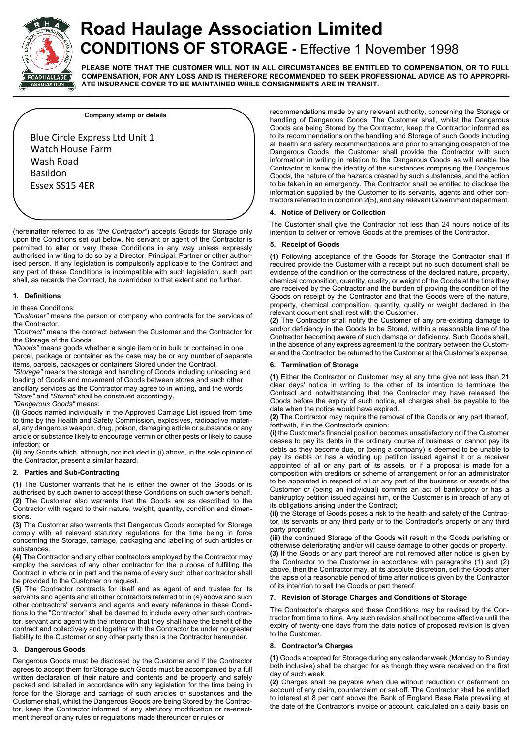

# **Road Haulage Association Limited CONDITIONS OF STORAGE -** Effective 1 November 1998

**PLEASE NOTE THAT THE CUSTOMER WILL NOT IN ALL CIRCUMSTANCES BE ENTITLED TO COMPENSATION, OR TO FULL COMPENSATION, FOR ANY LOSS AND IS THEREFORE RECOMMENDED TO SEEK PROFESSIONAL ADVICE AS TO APPROPRI-ATE INSURANCE COVER TO BE MAINTAINED WHILE CONSIGNMENTS ARE IN TRANSIT.**

#### **Company stamp or details**

Blue Circle Express Ltd Unit 1 Watch House Farm Wash Road Basildon Essex SS15 4ER

(hereinafter referred to as *"the Contractor"*) accepts Goods for Storage only upon the Conditions set out below. No servant or agent of the Contractor is permitted to alter or vary these Conditions in any way unless expressly authorised in writing to do so by a Director, Principal, Partner or other authorised person. If any legislation is compulsorily applicable to the Contract and any part of these Conditions is incompatible with such legislation, such part shall, as regards the Contract, be overridden to that extent and no further.

#### **1. Definitions**

In these Conditions:

*"Customer"* means the person or company who contracts for the services of the Contractor.

*"Contract"* means the contract between the Customer and the Contractor for the Storage of the Goods.

*"Goods"* means goods whether a single item or in bulk or contained in one parcel, package or container as the case may be or any number of separate items, parcels, packages or containers Stored under the Contract.

*"Storage"* means the storage and handling of Goods including unloading and loading of Goods and movement of Goods between stores and such other ancillary services as the Contractor may agree to in writing, and the words *"Store"* and *"Stored"* shall be construed accordingly.

*"Dangerous Goods"* means:

**(i)** Goods named individually in the Approved Carriage List issued from time to time by the Health and Safety Commission, explosives, radioactive material, any dangerous weapon, drug, poison, damaging article or substance or any article or substance likely to encourage vermin or other pests or likely to cause infection; or

**(ii)** any Goods which, although, not included in (i) above, in the sole opinion of the Contractor, present a similar hazard.

# **2. Parties and Sub-Contracting**

**(1)** The Customer warrants that he is either the owner of the Goods or is authorised by such owner to accept these Conditions on such owner's behalf. **(2)** The Customer also warrants that the Goods are as described to the Contractor with regard to their nature, weight, quantity, condition and dimensions.

**(3)** The Customer also warrants that Dangerous Goods accepted for Storage comply with all relevant statutory regulations for the time being in force concerning the Storage, carriage, packaging and labelling of such articles or substances.

**(4)** The Contractor and any other contractors employed by the Contractor may employ the services of any other contractor for the purpose of fulfilling the Contract in whole or in part and the name of every such other contractor shall be provided to the Customer on request.

**(5)** The Contractor contracts for itself and as agent of and trustee for its servants and agents and all other contractors referred to in (4) above and such other contractors' servants and agents and every reference in these Conditions to the "Contractor" shall be deemed to include every other such contractor, servant and agent with the intention that they shall have the benefit of the contract and collectively and together with the Contractor be under no greater liability to the Customer or any other party than is the Contractor hereunder.

# **3. Dangerous Goods**

Dangerous Goods must be disclosed by the Customer and if the Contractor agrees to accept them for Storage such Goods must be accompanied by a full written declaration of their nature and contents and be properly and safely packed and labelled in accordance with any legislation for the time being in force for the Storage and carriage of such articles or substances and the Customer shall, whilst the Dangerous Goods are being Stored by the Contractor, keep the Contractor informed of any statutory modification or re-enactment thereof or any rules or regulations made thereunder or rules or

recommendations made by any relevant authority, concerning the Storage or handling of Dangerous Goods. The Customer shall, whilst the Dangerous Goods are being Stored by the Contractor, keep the Contractor informed as to its recommendations on the handling and Storage of such Goods including all health and safety recommendations and prior to arranging despatch of the Dangerous Goods, the Customer shall provide the Contractor with such information in writing in relation to the Dangerous Goods as will enable the Contractor to know the identity of the substances comprising the Dangerous Goods, the nature of the hazards created by such substances, and the action to be taken in an emergency. The Contractor shall be entitled to disclose the information supplied by the Customer to its servants, agents and other contractors referred to in condition 2(5), and any relevant Government department.

# **4. Notice of Delivery or Collection**

The Customer shall give the Contractor not less than 24 hours notice of its intention to deliver or remove Goods at the premises of the Contractor.

#### **5. Receipt of Goods**

**(1)** Following acceptance of the Goods for Storage the Contractor shall if required provide the Customer with a receipt but no such document shall be evidence of the condition or the correctness of the declared nature, property, chemical composition, quantity, quality, or weight of the Goods at the time they are received by the Contractor and the burden of proving the condition of the Goods on receipt by the Contractor and that the Goods were of the nature, property, chemical composition, quantity, quality or weight declared in the relevant document shall rest with the Customer.

**(2)** The Contractor shall notify the Customer of any pre-existing damage to and/or deficiency in the Goods to be Stored, within a reasonable time of the Contractor becoming aware of such damage or deficiency. Such Goods shall, in the absence of any express agreement to the contrary between the Customer and the Contractor, be returned to the Customer at the Customer's expense.

#### **6. Termination of Storage**

**(1)** Either the Contractor or Customer may at any time give not less than 21 clear days' notice in writing to the other of its intention to terminate the Contract and notwithstanding that the Contractor may have released the Goods before the expiry of such notice, all charges shall be payable to the date when the notice would have expired.

**(2)** The Contractor may require the removal of the Goods or any part thereof, forthwith, if in the Contractor's opinion:

**(i)** the Customer's financial position becomes unsatisfactory or if the Customer ceases to pay its debts in the ordinary course of business or cannot pay its debts as they become due, or (being a company) is deemed to be unable to pay its debts or has a winding up petition issued against it or a receiver appointed of all or any part of its assets, or if a proposal is made for a composition with creditors or scheme of arrangement or for an administrator to be appointed in respect of all or any part of the business or assets of the Customer or (being an individual) commits an act of bankruptcy or has a bankruptcy petition issued against him, or the Customer is in breach of any of its obligations arising under the Contract;

**(ii)** the Storage of Goods poses a risk to the health and safety of the Contractor, its servants or any third party or to the Contractor's property or any third party property;

**(iii)** the continued Storage of the Goods will result in the Goods perishing or otherwise deteriorating and/or will cause damage to other goods or property. **(3)** If the Goods or any part thereof are not removed after notice is given by the Contractor to the Customer in accordance with paragraphs (1) and (2) above, then the Contractor may, at its absolute discretion, sell the Goods after the lapse of a reasonable period of time after notice is given by the Contractor of its intention to sell the Goods or part thereof.

# **7. Revision of Storage Charges and Conditions of Storage**

The Contractor's charges and these Conditions may be revised by the Contractor from time to time. Any such revision shall not become effective until the expiry of twenty-one days from the date notice of proposed revision is given to the Customer.

# **8. Contractor's Charges**

**(1)** Goods accepted for Storage during any calendar week (Monday to Sunday both inclusive) shall be charged for as though they were received on the first day of such week.

**(2)** Charges shall be payable when due without reduction or deferment on account of any claim, counterclaim or set-off. The Contractor shall be entitled to interest at 8 per cent above the Bank of England Base Rate prevailing at the date of the Contractor's invoice or account, calculated on a daily basis on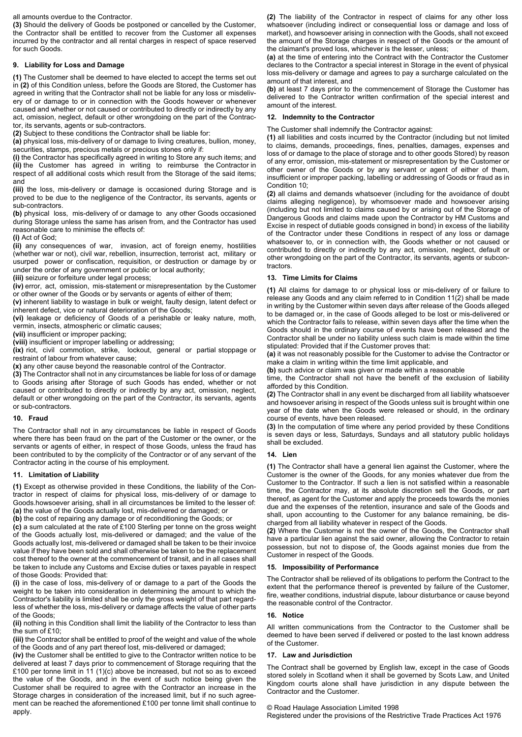#### all amounts overdue to the Contractor.

**(3)** Should the delivery of Goods be postponed or cancelled by the Customer, the Contractor shall be entitled to recover from the Customer all expenses incurred by the contractor and all rental charges in respect of space reserved for such Goods.

#### **9. Liability for Loss and Damage**

**(1)** The Customer shall be deemed to have elected to accept the terms set out in **(2)** of this Condition unless, before the Goods are Stored, the Customer has agreed in writing that the Contractor shall not be liable for any loss or misdelivery of or damage to or in connection with the Goods however or whenever caused and whether or not caused or contributed to directly or indirectly by any act, omission, neglect, default or other wrongdoing on the part of the Contractor, its servants, agents or sub-contractors.

**(2)** Subject to these conditions the Contractor shall be liable for:

**(a)** physical loss, mis-delivery of or damage to living creatures, bullion, money, securities, stamps, precious metals or precious stones only if:

**(i)** the Contractor has specifically agreed in writing to Store any such items; and **(ii)** the Customer has agreed in writing to reimburse the Contractor in respect of all additional costs which result from the Storage of the said items; and

**(iii)** the loss, mis-delivery or damage is occasioned during Storage and is proved to be due to the negligence of the Contractor, its servants, agents or sub-contractors.

**(b)** physical loss, mis-delivery of or damage to any other Goods occasioned during Storage unless the same has arisen from, and the Contractor has used reasonable care to minimise the effects of:

**(i)** Act of God;

**(ii)** any consequences of war, invasion, act of foreign enemy, hostilities (whether war or not), civil war, rebellion, insurrection, terrorist act, military or usurped power or confiscation, requisition, or destruction or damage by or under the order of any government or public or local authority;

**(iii)** seizure or forfeiture under legal process;

**(iv)** error, act, omission, mis-statement or misrepresentation by the Customer or other owner of the Goods or by servants or agents of either of them;

**(v)** inherent liability to wastage in bulk or weight, faulty design, latent defect or inherent defect, vice or natural deterioration of the Goods;

**(vi)** leakage or deficiency of Goods of a perishable or leaky nature, moth, vermin, insects, atmospheric or climatic causes;

**(vii)** insufficient or improper packing;

**(viii)** insufficient or improper labelling or addressing;

**(ix)** riot, civil commotion, strike, lockout, general or partial stoppage or restraint of labour from whatever cause;

**(x)** any other cause beyond the reasonable control of the Contractor.

**(3)** The Contractor shall not in any circumstances be liable for loss of or damage to Goods arising after Storage of such Goods has ended, whether or not caused or contributed to directly or indirectly by any act, omission, neglect, default or other wrongdoing on the part of the Contractor, its servants, agents or sub-contractors.

# **10. Fraud**

The Contractor shall not in any circumstances be liable in respect of Goods where there has been fraud on the part of the Customer or the owner, or the servants or agents of either, in respect of those Goods, unless the fraud has been contributed to by the complicity of the Contractor or of any servant of the Contractor acting in the course of his employment.

#### **11. Limitation of Liability**

**(1)** Except as otherwise provided in these Conditions, the liability of the Contractor in respect of claims for physical loss, mis-delivery of or damage to Goods.howsoever arising, shall in all circumstances be limited to the lesser of: **(a)** the value of the Goods actually lost, mis-delivered or damaged; or

**(b)** the cost of repairing any damage or of reconditioning the Goods; or

**(c)** a sum calculated at the rate of £100 Sterling per tonne on the gross weight of the Goods actually lost, mis-delivered or damaged; and the value of the Goods actually lost, mis-delivered or damaged shall be taken to be their invoice value if they have been sold and shall otherwise be taken to be the replacement cost thereof to the owner at the commencement of transit, and in all cases shall

be taken to include any Customs and Excise duties or taxes payable in respect of those Goods: Provided that: **(i)** in the case of loss, mis-delivery of or damage to a part of the Goods the

weight to be taken into consideration in determining the amount to which the Contractor's liability is limited shall be only the gross weight of that part regardless of whether the loss, mis-delivery or damage affects the value of other parts of the Goods;

**(ii)** nothing in this Condition shall limit the liability of the Contractor to less than the sum of £10;

**(iii)** the Contractor shall be entitled to proof of the weight and value of the whole of the Goods and of any part thereof lost, mis-delivered or damaged;

**(iv)** the Customer shall be entitled to give to the Contractor written notice to be delivered at least 7 days prior to commencement of Storage requiring that the £100 per tonne limit in 11 (1)(c) above be increased, but not so as to exceed the value of the Goods, and in the event of such notice being given the Customer shall be required to agree with the Contractor an increase in the Storage charges in consideration of the increased limit, but if no such agreement can be reached the aforementioned £100 per tonne limit shall continue to apply.

**(2)** The liability of the Contractor in respect of claims for any other loss whatsoever (including indirect or consequential loss or damage and loss of market), and howsoever arising in connection with the Goods, shall not exceed the amount of the Storage charges in respect of the Goods or the amount of the claimant's proved loss, whichever is the lesser, unless;

**(a)** at the time of entering into the Contract with the Contractor the Customer declares to the Contractor a special interest in Storage in the event of physical loss mis-delivery or damage and agrees to pay a surcharge calculated on the amount of that interest, and

**(b)** at least 7 days prior to the commencement of Storage the Customer has delivered to the Contractor written confirmation of the special interest and amount of the interest.

#### **12. Indemnity to the Contractor**

The Customer shall indemnify the Contractor against:

**(1)** all liabilities and costs incurred by the Contractor (including but not limited to claims, demands, proceedings, fines, penalties, damages, expenses and loss of or damage to the place of storage and to other goods Stored) by reason of any error, omission, mis-statement or misrepresentation by the Customer or other owner of the Goods or by any servant or agent of either of them, insufficient or improper packing, labelling or addressing of Goods or fraud as in Condition 10;

**(2)** all claims and demands whatsoever (including for the avoidance of doubt claims alleging negligence), by whomsoever made and howsoever arising (including but not limited to claims caused by or arising out of the Storage of Dangerous Goods and claims made upon the Contractor by HM Customs and Excise in respect of dutiable goods consigned in bond) in excess of the liability of the Contractor under these Conditions in respect of any loss or damage whatsoever to, or in connection with, the Goods whether or not caused or contributed to directly or indirectly by any act, omission, neglect, default or other wrongdoing on the part of the Contractor, its servants, agents or subcontractors.

# **13. Time Limits for Claims**

**(1)** All claims for damage to or physical loss or mis-delivery of or failure to release any Goods and any claim referred to in Condition 11(2) shall be made in writing by the Customer within seven days after release of the Goods alleged to be damaged or, in the case of Goods alleged to be lost or mis-delivered or which the Contractor fails to release, within seven days after the time when the Goods should in the ordinary course of events have been released and the Contractor shall be under no liability unless such claim is made within the time stipulated: Provided that if the Customer proves that:

**(a)** it was not reasonably possible for the Customer to advise the Contractor or make a claim in writing within the time limit applicable, and

**(b)** such advice or claim was given or made within a reasonable

time, the Contractor shall not have the benefit of the exclusion of liability afforded by this Condition.

**(2)** The Contractor shall in any event be discharged from all liability whatsoever and howsoever arising in respect of the Goods unless suit is brought within one year of the date when the Goods were released or should, in the ordinary course of events, have been released.

**(3)** In the computation of time where any period provided by these Conditions is seven days or less, Saturdays, Sundays and all statutory public holidays shall be excluded.

# **14. Lien**

**(1)** The Contractor shall have a general lien against the Customer, where the Customer is the owner of the Goods, for any monies whatever due from the Customer to the Contractor. If such a lien is not satisfied within a reasonable time, the Contractor may, at its absolute discretion sell the Goods, or part thereof, as agent for the Customer and apply the proceeds towards the monies due and the expenses of the retention, insurance and sale of the Goods and shall, upon accounting to the Customer for any balance remaining, be discharged from all liability whatever in respect of the Goods.

**(2)** Where the Customer is not the owner of the Goods, the Contractor shall have a particular lien against the said owner, allowing the Contractor to retain possession, but not to dispose of, the Goods against monies due from the Customer in respect of the Goods.

# **15. Impossibility of Performance**

The Contractor shall be relieved of its obligations to perform the Contract to the extent that the performance thereof is prevented by failure of the Customer, fire, weather conditions, industrial dispute, labour disturbance or cause beyond the reasonable control of the Contractor.

# **16. Notice**

All written communications from the Contractor to the Customer shall be deemed to have been served if delivered or posted to the last known address of the Customer.

#### **17. Law and Jurisdiction**

The Contract shall be governed by English law, except in the case of Goods stored solely in Scotland when it shall be governed by Scots Law, and United Kingdom courts alone shall have jurisdiction in any dispute between the Contractor and the Customer.

#### © Road Haulage Association Limited 1998

Registered under the provisions of the Restrictive Trade Practices Act 1976